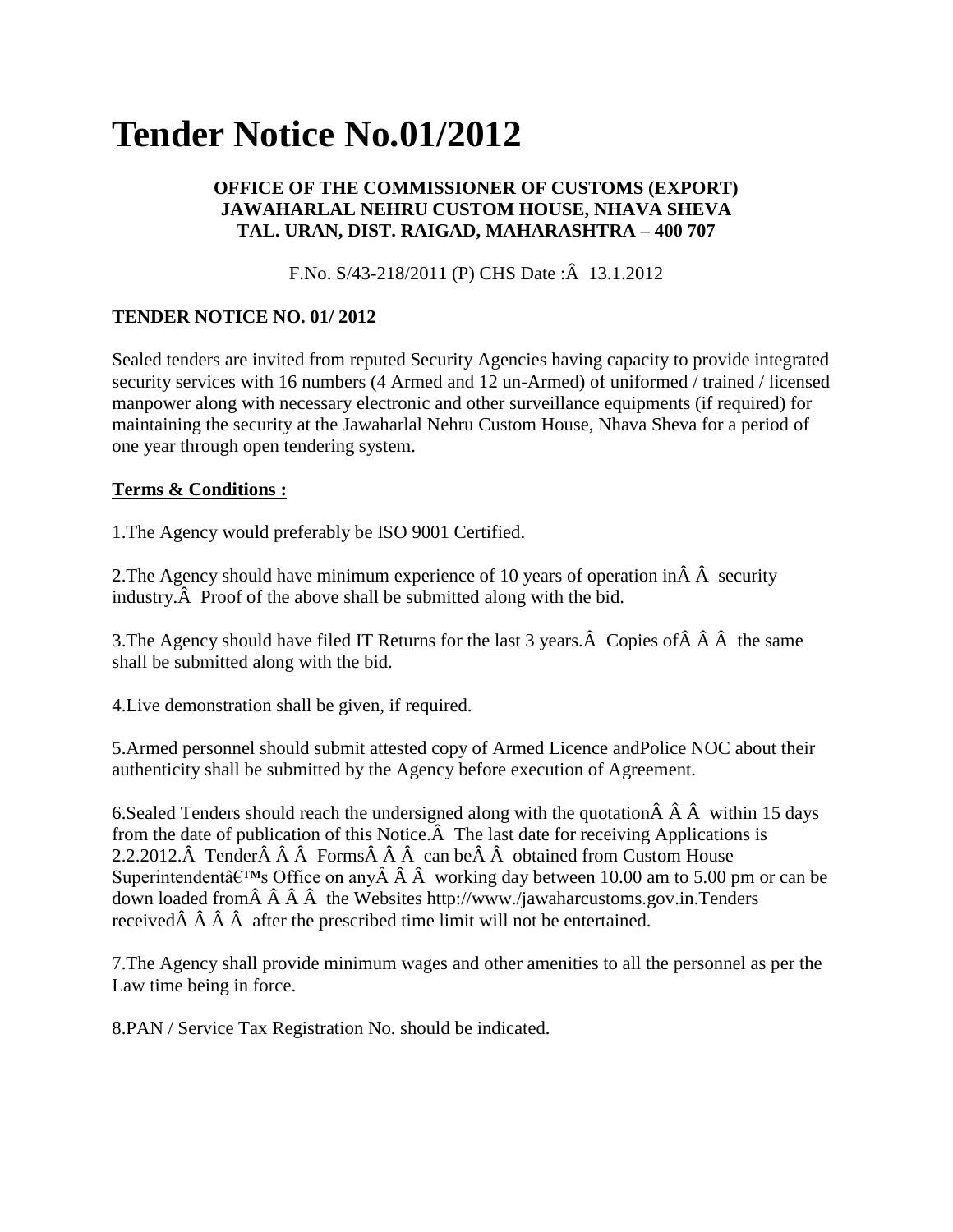## **Tender Notice No.01/2012**

## **OFFICE OF THE COMMISSIONER OF CUSTOMS (EXPORT) JAWAHARLAL NEHRU CUSTOM HOUSE, NHAVA SHEVA TAL. URAN, DIST. RAIGAD, MAHARASHTRA – 400 707**

F.No. S/43-218/2011 (P) CHS Date :Â 13.1.2012

## **TENDER NOTICE NO. 01/ 2012**

Sealed tenders are invited from reputed Security Agencies having capacity to provide integrated security services with 16 numbers (4 Armed and 12 un-Armed) of uniformed / trained / licensed manpower along with necessary electronic and other surveillance equipments (if required) for maintaining the security at the Jawaharlal Nehru Custom House, Nhava Sheva for a period of one year through open tendering system.

## **Terms & Conditions :**

1.The Agency would preferably be ISO 9001 Certified.

2. The Agency should have minimum experience of 10 years of operation in  $\hat{A}$   $\hat{A}$  security industry.Â Proof of the above shall be submitted along with the bid.

3. The Agency should have filed IT Returns for the last 3 years. $\hat{A}$  Copies of  $\hat{A}$   $\hat{A}$   $\hat{A}$  the same shall be submitted along with the bid.

4.Live demonstration shall be given, if required.

5.Armed personnel should submit attested copy of Armed Licence andPolice NOC about their authenticity shall be submitted by the Agency before execution of Agreement.

6. Sealed Tenders should reach the undersigned along with the quotation  $\hat{A}$   $\hat{A}$  within 15 days from the date of publication of this Notice. $\hat{A}$  The last date for receiving Applications is 2.2.2012. $\hat{A}$  Tender $\hat{A}$   $\hat{A}$   $\hat{A}$  Forms $\hat{A}$   $\hat{A}$   $\hat{A}$  can be  $\hat{A}$   $\hat{A}$  obtained from Custom House Superintendent $\hat{a} \in T^M$ s Office on any $\hat{A} \hat{A}$  working day between 10.00 am to 5.00 pm or can be down loaded from $\hat{A}$   $\hat{A}$   $\hat{A}$   $\hat{A}$  the Websites http://www./jawaharcustoms.gov.in.Tenders received $\hat{A}$   $\hat{A}$   $\hat{A}$  after the prescribed time limit will not be entertained.

7.The Agency shall provide minimum wages and other amenities to all the personnel as per the Law time being in force.

8.PAN / Service Tax Registration No. should be indicated.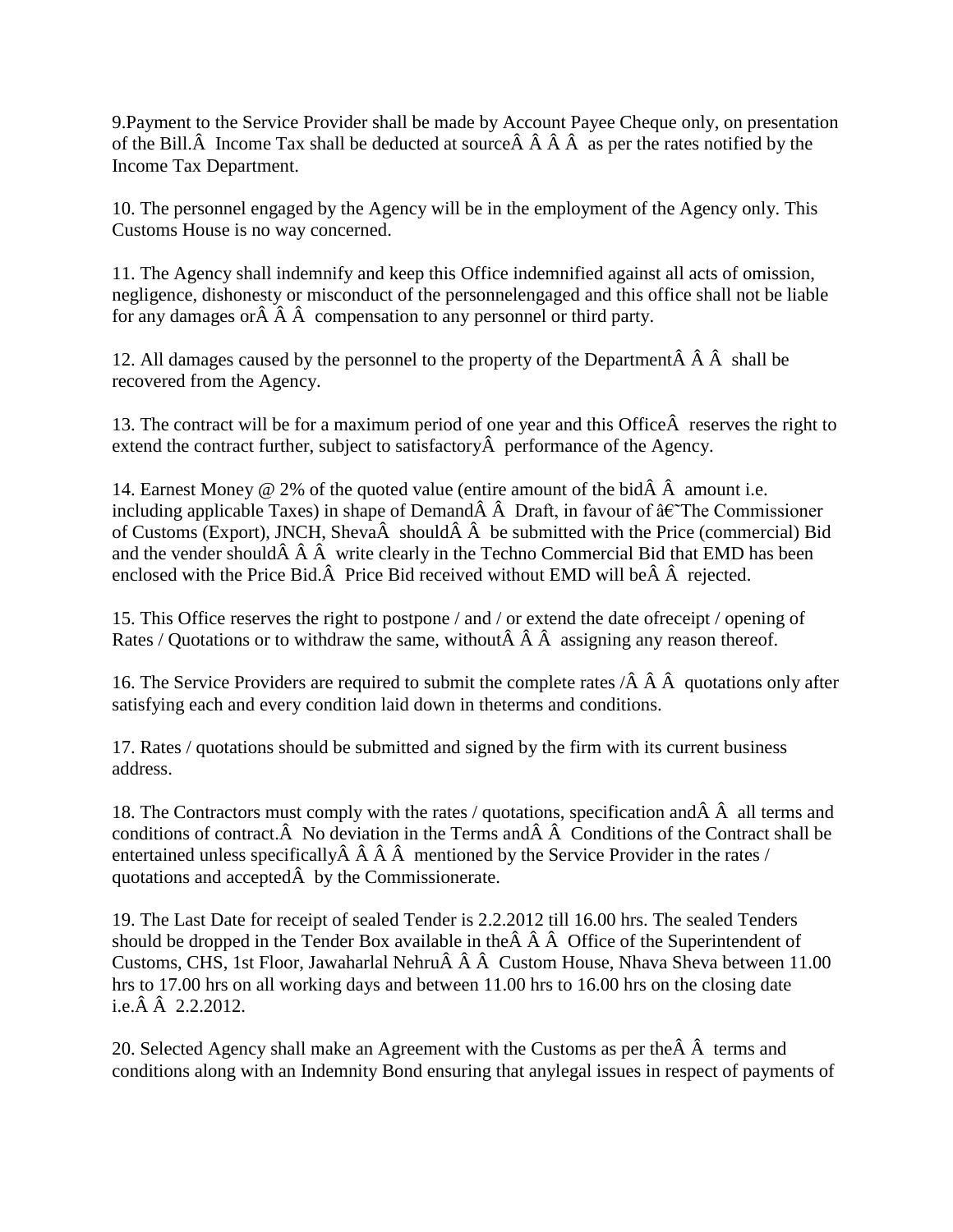9.Payment to the Service Provider shall be made by Account Payee Cheque only, on presentation of the Bill. $\hat{A}$  Income Tax shall be deducted at source  $\hat{A}$   $\hat{A}$   $\hat{A}$   $\hat{A}$  as per the rates notified by the Income Tax Department.

10. The personnel engaged by the Agency will be in the employment of the Agency only. This Customs House is no way concerned.

11. The Agency shall indemnify and keep this Office indemnified against all acts of omission, negligence, dishonesty or misconduct of the personnelengaged and this office shall not be liable for any damages orÂ Â Â compensation to any personnel or third party.

12. All damages caused by the personnel to the property of the Department $\hat{A} \hat{A} \hat{A}$  shall be recovered from the Agency.

13. The contract will be for a maximum period of one year and this OfficeÂ reserves the right to extend the contract further, subject to satisfactory $\hat{A}$  performance of the Agency.

14. Earnest Money  $\omega$  2% of the quoted value (entire amount of the bid $\hat{A}$   $\hat{A}$  amount i.e. including applicable Taxes) in shape of Demand Â Draft, in favour of  $\hat{a} \in \hat{a}$ The Commissioner of Customs (Export), JNCH, Sheva $\hat{A}$  should $\hat{A}$   $\hat{A}$  be submitted with the Price (commercial) Bid and the vender should $\hat{A}$   $\hat{A}$  write clearly in the Techno Commercial Bid that EMD has been enclosed with the Price Bid.Â Price Bid received without EMD will beÂ Â rejected.

15. This Office reserves the right to postpone / and / or extend the date ofreceipt / opening of Rates / Quotations or to withdraw the same, without  $\hat{A}$   $\hat{A}$  assigning any reason thereof.

16. The Service Providers are required to submit the complete rates  $\angle A$   $\hat A$   $\hat A$  quotations only after satisfying each and every condition laid down in theterms and conditions.

17. Rates / quotations should be submitted and signed by the firm with its current business address.

18. The Contractors must comply with the rates / quotations, specification and $\hat{A}$   $\hat{A}$  all terms and conditions of contract. $\hat{A}$  No deviation in the Terms and  $\hat{A}$   $\hat{A}$  Conditions of the Contract shall be entertained unless specifically  $\hat{A}$   $\hat{A}$   $\hat{A}$  mentioned by the Service Provider in the rates / quotations and acceptedÂ by the Commissionerate.

19. The Last Date for receipt of sealed Tender is 2.2.2012 till 16.00 hrs. The sealed Tenders should be dropped in the Tender Box available in the $\hat{A}$   $\hat{A}$   $\hat{A}$  Office of the Superintendent of Customs, CHS, 1st Floor, Jawaharlal NehruÂ Â Â Custom House, Nhava Sheva between 11.00 hrs to 17.00 hrs on all working days and between 11.00 hrs to 16.00 hrs on the closing date i.e. $\hat{A}$   $\hat{A}$  2.2.2012.

20. Selected Agency shall make an Agreement with the Customs as per the $\hat{A}$  Å terms and conditions along with an Indemnity Bond ensuring that anylegal issues in respect of payments of